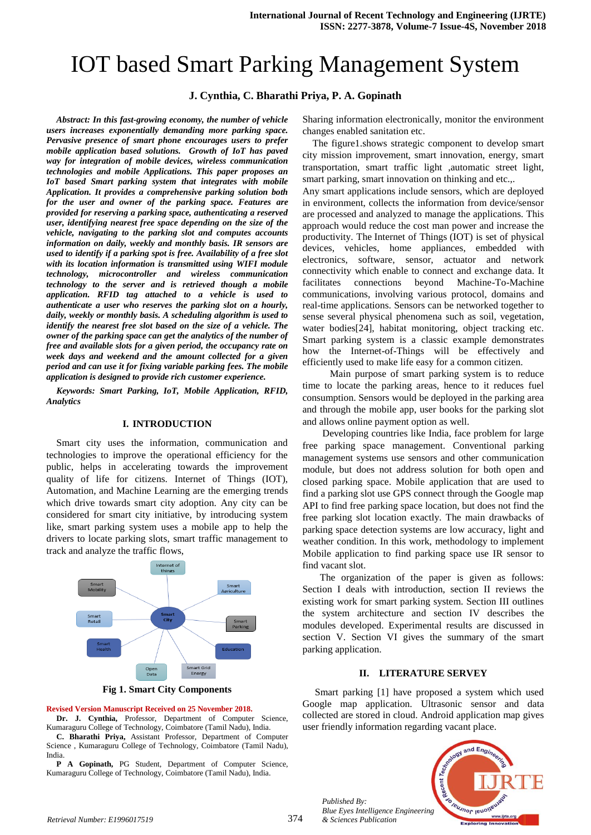# IOT based Smart Parking Management System

# **J. Cynthia, C. Bharathi Priya, P. A. Gopinath**

*Abstract: In this fast-growing economy, the number of vehicle users increases exponentially demanding more parking space. Pervasive presence of smart phone encourages users to prefer mobile application based solutions. Growth of IoT has paved way for integration of mobile devices, wireless communication technologies and mobile Applications. This paper proposes an IoT based Smart parking system that integrates with mobile Application. It provides a comprehensive parking solution both for the user and owner of the parking space. Features are provided for reserving a parking space, authenticating a reserved user, identifying nearest free space depending on the size of the vehicle, navigating to the parking slot and computes accounts information on daily, weekly and monthly basis. IR sensors are used to identify if a parking spot is free. Availability of a free slot with its location information is transmitted using WIFI module technology, microcontroller and wireless communication technology to the server and is retrieved though a mobile application. RFID tag attached to a vehicle is used to authenticate a user who reserves the parking slot on a hourly, daily, weekly or monthly basis. A scheduling algorithm is used to identify the nearest free slot based on the size of a vehicle. The owner of the parking space can get the analytics of the number of free and available slots for a given period, the occupancy rate on week days and weekend and the amount collected for a given period and can use it for fixing variable parking fees. The mobile application is designed to provide rich customer experience.*

*Keywords: Smart Parking, IoT, Mobile Application, RFID, Analytics*

#### **I. INTRODUCTION**

Smart city uses the information, communication and technologies to improve the operational efficiency for the public, helps in accelerating towards the improvement quality of life for citizens. Internet of Things (IOT), Automation, and Machine Learning are the emerging trends which drive towards smart city adoption. Any city can be considered for smart city initiative, by introducing system like, smart parking system uses a mobile app to help the drivers to locate parking slots, smart traffic management to track and analyze the traffic flows,



**Fig 1. Smart City Components**

#### **Revised Version Manuscript Received on 25 November 2018.**

**Dr. J. Cynthia,** Professor, Department of Computer Science, Kumaraguru College of Technology, Coimbatore (Tamil Nadu), India. **C. Bharathi Priya,** Assistant Professor, Department of Computer Science , Kumaraguru College of Technology, Coimbatore (Tamil Nadu), India.

**P A Gopinath,** PG Student, Department of Computer Science, Kumaraguru College of Technology, Coimbatore (Tamil Nadu), India.

Sharing information electronically, monitor the environment changes enabled sanitation etc.

The figure1.shows strategic component to develop smart city mission improvement, smart innovation, energy, smart transportation, smart traffic light ,automatic street light, smart parking, smart innovation on thinking and etc.,.

Any smart applications include sensors, which are deployed in environment, collects the information from device/sensor are processed and analyzed to manage the applications. This approach would reduce the cost man power and increase the productivity. The Internet of Things (IOT) is set of physical devices, vehicles, home appliances, embedded with electronics, software, sensor, actuator and network connectivity which enable to connect and exchange data. It facilitates connections beyond Machine-To-Machine communications, involving various protocol, domains and real-time applications. Sensors can be networked together to sense several physical phenomena such as soil, vegetation, water bodies[24], habitat monitoring, object tracking etc. Smart parking system is a classic example demonstrates how the Internet-of-Things will be effectively and efficiently used to make life easy for a common citizen.

 Main purpose of smart parking system is to reduce time to locate the parking areas, hence to it reduces fuel consumption. Sensors would be deployed in the parking area and through the mobile app, user books for the parking slot and allows online payment option as well.

 Developing countries like India, face problem for large free parking space management. Conventional parking management systems use sensors and other communication module, but does not address solution for both open and closed parking space. Mobile application that are used to find a parking slot use GPS connect through the Google map API to find free parking space location, but does not find the free parking slot location exactly. The main drawbacks of parking space detection systems are low accuracy, light and weather condition. In this work, methodology to implement Mobile application to find parking space use IR sensor to find vacant slot.

 The organization of the paper is given as follows: Section I deals with introduction, section II reviews the existing work for smart parking system. Section III outlines the system architecture and section IV describes the modules developed. Experimental results are discussed in section V. Section VI gives the summary of the smart parking application.

#### **II. LITERATURE SERVEY**

 Smart parking [1] have proposed a system which used Google map application. Ultrasonic sensor and data collected are stored in cloud. Android application map gives user friendly information regarding vacant place.



*Published By: Blue Eyes Intelligence Engineering*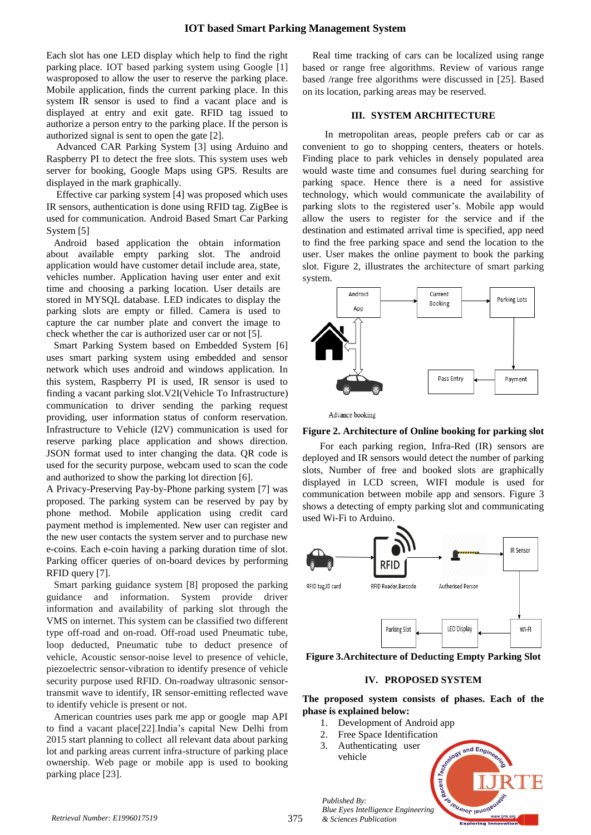Each slot has one LED display which help to find the right parking place. IOT based parking system using Google [1] wasproposed to allow the user to reserve the parking place. Mobile application, finds the current parking place. In this system IR sensor is used to find a vacant place and is displayed at entry and exit gate. RFID tag issued to authorize a person entry to the parking place. If the person is authorized signal is sent to open the gate [2].

Advanced CAR Parking System [3] using Arduino and Raspberry PI to detect the free slots. This system uses web server for booking, Google Maps using GPS. Results are displayed in the mark graphically.

Effective car parking system [4] was proposed which uses IR sensors, authentication is done using RFID tag. ZigBee is used for communication. Android Based Smart Car Parking System [5]

Android based application the obtain information about available empty parking slot. The android application would have customer detail include area, state, vehicles number. Application having user enter and exit time and choosing a parking location. User details are stored in MYSQL database. LED indicates to display the parking slots are empty or filled. Camera is used to capture the car number plate and convert the image to check whether the car is authorized user car or not [5].

Smart Parking System based on Embedded System [6] uses smart parking system using embedded and sensor network which uses android and windows application. In this system, Raspberry PI is used, IR sensor is used to finding a vacant parking slot.V2I(Vehicle To Infrastructure) communication to driver sending the parking request providing, user information status of conform reservation. Infrastructure to Vehicle (I2V) communication is used for reserve parking place application and shows direction. JSON format used to inter changing the data. QR code is used for the security purpose, webcam used to scan the code and authorized to show the parking lot direction [6].

A Privacy-Preserving Pay-by-Phone parking system [7] was proposed. The parking system can be reserved by pay by phone method. Mobile application using credit card payment method is implemented. New user can register and the new user contacts the system server and to purchase new e-coins. Each e-coin having a parking duration time of slot. Parking officer queries of on-board devices by performing RFID query [7].

Smart parking guidance system [8] proposed the parking guidance and information. System provide driver information and availability of parking slot through the VMS on internet. This system can be classified two different type off-road and on-road. Off-road used Pneumatic tube, loop deducted, Pneumatic tube to deduct presence of vehicle, Acoustic sensor-noise level to presence of vehicle, piezoelectric sensor-vibration to identify presence of vehicle security purpose used RFID. On-roadway ultrasonic sensortransmit wave to identify, IR sensor-emitting reflected wave to identify vehicle is present or not.

American countries uses park me app or google map API to find a vacant place[22].India"s capital New Delhi from 2015 start planning to collect all relevant data about parking lot and parking areas current infra-structure of parking place ownership. Web page or mobile app is used to booking parking place [23].

Real time tracking of cars can be localized using range based or range free algorithms. Review of various range based /range free algorithms were discussed in [25]. Based on its location, parking areas may be reserved.

# **III. SYSTEM ARCHITECTURE**

In metropolitan areas, people prefers cab or car as convenient to go to shopping centers, theaters or hotels. Finding place to park vehicles in densely populated area would waste time and consumes fuel during searching for parking space. Hence there is a need for assistive technology, which would communicate the availability of parking slots to the registered user"s. Mobile app would allow the users to register for the service and if the destination and estimated arrival time is specified, app need to find the free parking space and send the location to the user. User makes the online payment to book the parking slot. Figure 2, illustrates the architecture of smart parking system.





#### **Figure 2. Architecture of Online booking for parking slot**

 For each parking region, Infra-Red (IR) sensors are deployed and IR sensors would detect the number of parking slots, Number of free and booked slots are graphically displayed in LCD screen, WIFI module is used for communication between mobile app and sensors. Figure 3 shows a detecting of empty parking slot and communicating used Wi-Fi to Arduino.



**Figure 3.Architecture of Deducting Empty Parking Slot**

# **IV. PROPOSED SYSTEM**

**The proposed system consists of phases. Each of the phase is explained below:**

- 1. Development of Android app
- 2. Free Space Identification
- 3. Authenticating user vehicle

*Published By:*

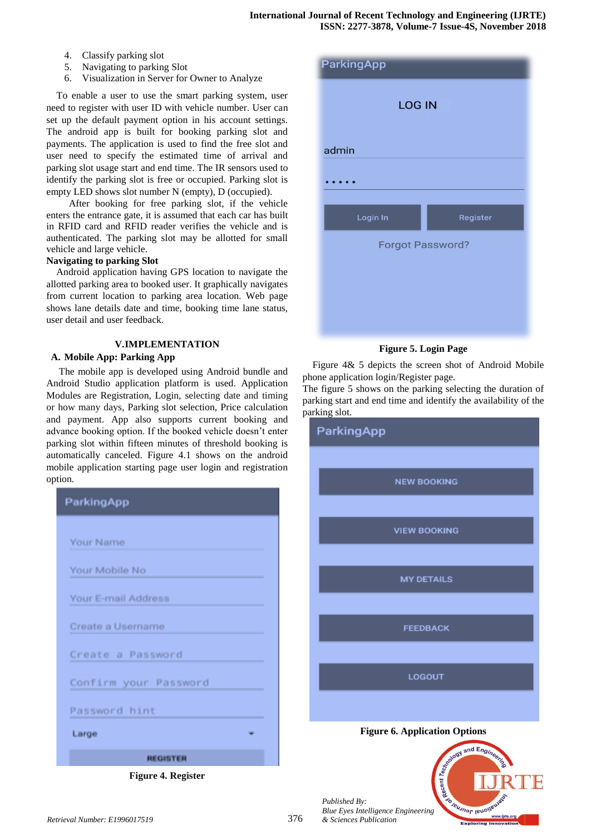- 4. Classify parking slot
- 5. Navigating to parking Slot
- 6. Visualization in Server for Owner to Analyze

To enable a user to use the smart parking system, user need to register with user ID with vehicle number. User can set up the default payment option in his account settings. The android app is built for booking parking slot and payments. The application is used to find the free slot and user need to specify the estimated time of arrival and parking slot usage start and end time. The IR sensors used to identify the parking slot is free or occupied. Parking slot is empty LED shows slot number N (empty), D (occupied).

 After booking for free parking slot, if the vehicle enters the entrance gate, it is assumed that each car has built in RFID card and RFID reader verifies the vehicle and is authenticated. The parking slot may be allotted for small vehicle and large vehicle.

#### **Navigating to parking Slot**

Android application having GPS location to navigate the allotted parking area to booked user. It graphically navigates from current location to parking area location. Web page shows lane details date and time, booking time lane status, user detail and user feedback.

# **V.IMPLEMENTATION**

# **A. Mobile App: Parking App**

The mobile app is developed using Android bundle and Android Studio application platform is used. Application Modules are Registration, Login, selecting date and timing or how many days, Parking slot selection, Price calculation and payment. App also supports current booking and advance booking option. If the booked vehicle doesn"t enter parking slot within fifteen minutes of threshold booking is automatically canceled. Figure 4.1 shows on the android mobile application starting page user login and registration option.



**Figure 4. Register**

| <b>ParkingApp</b>       |          |
|-------------------------|----------|
| <b>LOG IN</b>           |          |
| admin                   |          |
|                         |          |
| Login In                | Register |
| <b>Forgot Password?</b> |          |
|                         |          |
|                         |          |
|                         |          |

**Figure 5. Login Page**

Figure 4& 5 depicts the screen shot of Android Mobile phone application login/Register page.

The figure 5 shows on the parking selecting the duration of parking start and end time and identify the availability of the parking slot.



**Jeusnor lenon**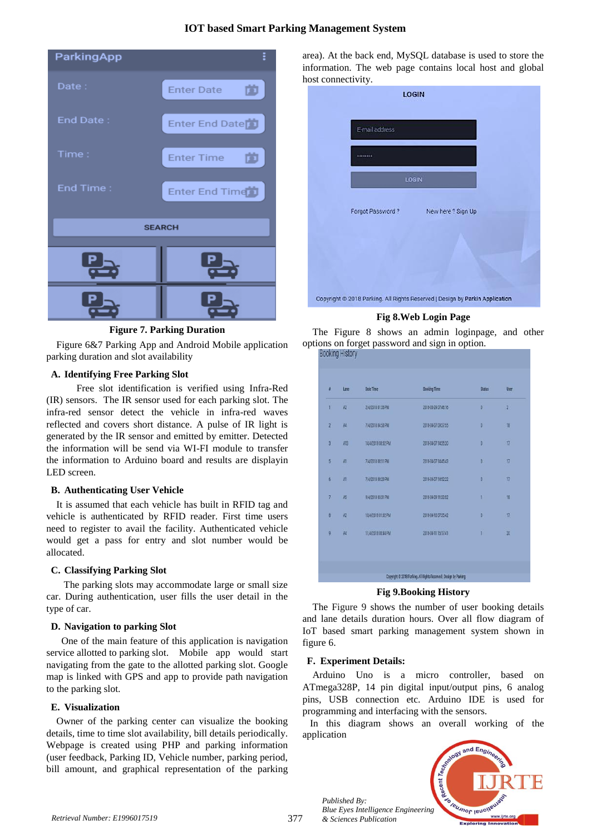# **IOT based Smart Parking Management System**

| ParkingApp    |                        |  |  |  |
|---------------|------------------------|--|--|--|
| Date:         | 茴<br><b>Enter Date</b> |  |  |  |
| End Date:     | Enter End Date         |  |  |  |
| Time:         | 茴<br><b>Enter Time</b> |  |  |  |
| End Time:     | Enter End Time         |  |  |  |
| <b>SEARCH</b> |                        |  |  |  |
|               |                        |  |  |  |
|               |                        |  |  |  |

**Figure 7. Parking Duration**

Figure 6&7 Parking App and Android Mobile application parking duration and slot availability

### **A. Identifying Free Parking Slot**

Free slot identification is verified using Infra-Red (IR) sensors. The IR sensor used for each parking slot. The infra-red sensor detect the vehicle in infra-red waves reflected and covers short distance. A pulse of IR light is generated by the IR sensor and emitted by emitter. Detected the information will be send via WI-FI module to transfer the information to Arduino board and results are displayin LED screen.

### **B. Authenticating User Vehicle**

It is assumed that each vehicle has built in RFID tag and vehicle is authenticated by RFID reader. First time users need to register to avail the facility. Authenticated vehicle would get a pass for entry and slot number would be allocated.

### **C. Classifying Parking Slot**

 The parking slots may accommodate large or small size car. During authentication, user fills the user detail in the type of car.

### **D. Navigation to parking Slot**

 One of the main feature of this application is navigation service allotted to parking slot. Mobile app would start navigating from the gate to the allotted parking slot. Google map is linked with GPS and app to provide path navigation to the parking slot.

### **E. Visualization**

Owner of the parking center can visualize the booking details, time to time slot availability, bill details periodically. Webpage is created using PHP and parking information (user feedback, Parking ID, Vehicle number, parking period, bill amount, and graphical representation of the parking

area). At the back end, MySQL database is used to store the information. The web page contains local host and global host connectivity.

|                  | <b>LOGIN</b>                                                                 |  |
|------------------|------------------------------------------------------------------------------|--|
| E-mail address   |                                                                              |  |
|                  |                                                                              |  |
| LOGIN            |                                                                              |  |
| Forgot Password? | New here? Sign Up                                                            |  |
|                  |                                                                              |  |
|                  |                                                                              |  |
|                  | Copyright @ 2018 Parking. All Rights Reserved   Design by Parkin Application |  |

**Fig 8.Web Login Page**

The Figure 8 shows an admin loginpage, and other options on forget password and sign in option. **Rooking Histor** 

| Ŧ              | Lane            | <b>Date Time</b>   | <b>Booking Time</b> | <b>Status</b> | User            |
|----------------|-----------------|--------------------|---------------------|---------------|-----------------|
| ï              | $\overline{12}$ | 2/4/2018 01:05 PM  | 2018-03-29 07:46:16 | $\theta$      | $\sqrt{2}$      |
| $\overline{2}$ | M               | 7/4/2018 04:53 PM  | 2018-04-07 09:37:55 | ø             | 18              |
| $\overline{3}$ | A13             | 14/4/2018 08:02 PM | 2018-04-07 14:35:20 | ö             | 17              |
| 5 <sup>°</sup> | A1              | 7/4/2018 08:11 PM  | 2018-04-07 14:45:43 | ¢             | 17              |
| $\overline{6}$ | ÄĪ              | 7/4/2018 08:20 PM  | 2018-04-07 14:52:22 | O             | $\overline{17}$ |
| 7 <sub>0</sub> | A5              | 9/4/2018 05:01 PM  | 2018-04-09 11:33:52 | v             | 18              |
| Ø              | A2              | 10/4/2018 01:02 PM | 2018-04-10 07:35:42 | 0             | 17              |
| 9              | A4              | 11/4/2018 08:44 PM | 2018-04-11 15:17:41 | 1             | W               |
|                |                 |                    |                     |               |                 |

**Fig 9.Booking History**

The Figure 9 shows the number of user booking details and lane details duration hours. Over all flow diagram of IoT based smart parking management system shown in figure 6.

### **F. Experiment Details:**

Arduino Uno is a micro controller, based on ATmega328P, 14 pin digital input/output pins, 6 analog pins, USB connection etc. Arduino IDE is used for programming and interfacing with the sensors.

In this diagram shows an overall working of the application



377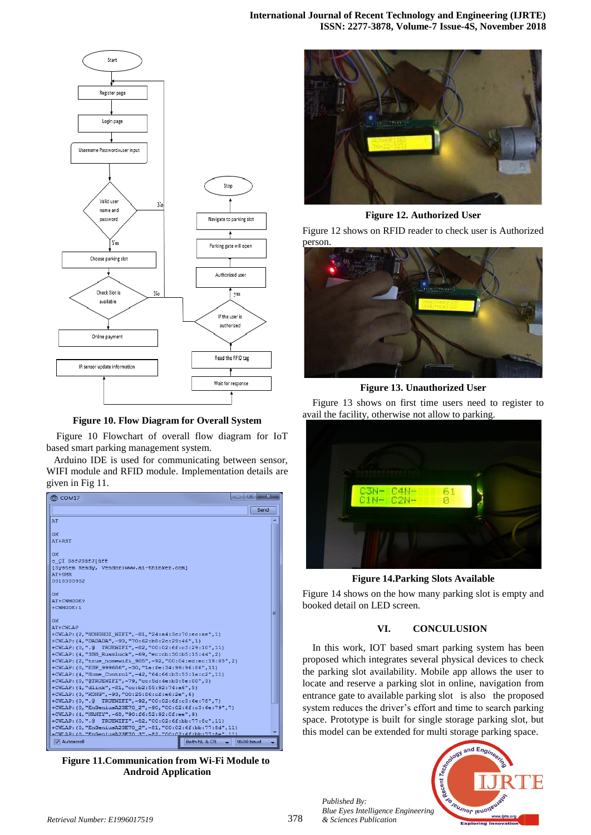**International Journal of Recent Technology and Engineering (IJRTE) ISSN: 2277-3878, Volume-7 Issue-4S, November 2018**



**Figure 10. Flow Diagram for Overall System**

Figure 10 Flowchart of overall flow diagram for IoT based smart parking management system.

Arduino IDE is used for communicating between sensor, WIFI module and RFID module. Implementation details are given in Fig 11.



**Figure 11.Communication from Wi-Fi Module to Android Application**



**Figure 12. Authorized User**

Figure 12 shows on RFID reader to check user is Authorized person.



**Figure 13. Unauthorized User**

Figure 13 shows on first time users need to register to avail the facility, otherwise not allow to parking.



**Figure 14.Parking Slots Available**

Figure 14 shows on the how many parking slot is empty and booked detail on LED screen.

#### **VI. CONCULUSION**

In this work, IOT based smart parking system has been proposed which integrates several physical devices to check the parking slot availability. Mobile app allows the user to locate and reserve a parking slot in online, navigation from entrance gate to available parking slot is also the proposed system reduces the driver's effort and time to search parking space. Prototype is built for single storage parking slot, but this model can be extended for multi storage parking space.



*Published By: Blue Eyes Intelligence Engineering*